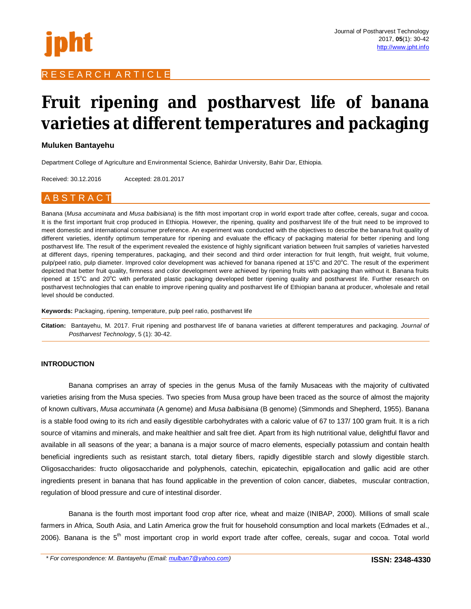

# R E S E A R C H A R T I C L E

# **Fruit ripening and postharvest life of banana varieties at different temperatures and packaging**

# **Muluken Bantayehu**

Department College of Agriculture and Environmental Science, Bahirdar University, Bahir Dar, Ethiopia.

Received: 30.12.2016 Accepted: 28.01.2017

# A B S T R A C T

Banana (*Musa accuminata* and *Musa balbisiana*) is the fifth most important crop in world export trade after coffee, cereals, sugar and cocoa. It is the first important fruit crop produced in Ethiopia. However, the ripening, quality and postharvest life of the fruit need to be improved to meet domestic and international consumer preference. An experiment was conducted with the objectives to describe the banana fruit quality of different varieties, identify optimum temperature for ripening and evaluate the efficacy of packaging material for better ripening and long postharvest life. The result of the experiment revealed the existence of highly significant variation between fruit samples of varieties harvested at different days, ripening temperatures, packaging, and their second and third order interaction for fruit length, fruit weight, fruit volume, pulp/peel ratio, pulp diameter. Improved color development was achieved for banana ripened at 15°C and 20°C. The result of the experiment depicted that better fruit quality, firmness and color development were achieved by ripening fruits with packaging than without it. Banana fruits ripened at 15°C and 20°C with perforated plastic packaging developed better ripening quality and postharvest life. Further research on postharvest technologies that can enable to improve ripening quality and postharvest life of Ethiopian banana at producer, wholesale and retail level should be conducted.

**Keywords:** Packaging, ripening, temperature, pulp peel ratio, postharvest life

**Citation:** Bantayehu, M. 2017. Fruit ripening and postharvest life of banana varieties at different temperatures and packaging. *Journal of Postharvest Technology*, 5 (1): 30-42.

# **INTRODUCTION**

Banana comprises an array of species in the genus Musa of the family Musaceas with the majority of cultivated varieties arising from the Musa species. Two species from Musa group have been traced as the source of almost the majority of known cultivars, *Musa accuminata* (A genome) and *Musa balbisiana* (B genome) (Simmonds and Shepherd, 1955). Banana is a stable food owing to its rich and easily digestible carbohydrates with a caloric value of 67 to 137/ 100 gram fruit. It is a rich source of vitamins and minerals, and make healthier and salt free diet. Apart from its high nutritional value, delightful flavor and available in all seasons of the year; a banana is a major source of macro elements, especially potassium and contain health beneficial ingredients such as resistant starch, total dietary fibers, rapidly digestible starch and slowly digestible starch. Oligosaccharides: fructo oligosaccharide and polyphenols, catechin, epicatechin, epigallocation and gallic acid are other ingredients present in banana that has found applicable in the prevention of colon cancer, diabetes, muscular contraction, regulation of blood pressure and cure of intestinal disorder.

Banana is the fourth most important food crop after rice, wheat and maize (INIBAP, 2000). Millions of small scale farmers in Africa, South Asia, and Latin America grow the fruit for household consumption and local markets (Edmades et al., 2006). Banana is the 5<sup>th</sup> most important crop in world export trade after coffee, cereals, sugar and cocoa. Total world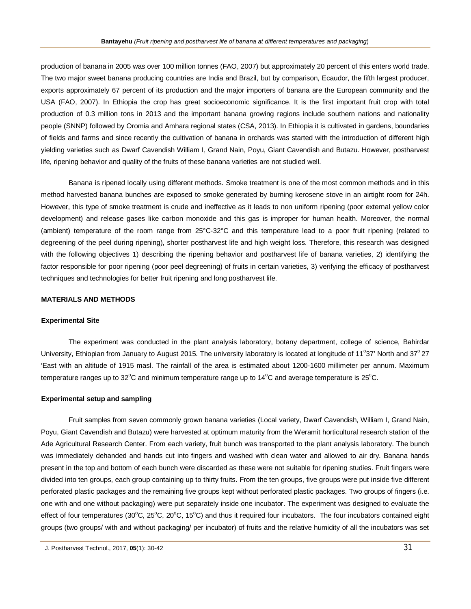production of banana in 2005 was over 100 million tonnes (FAO, 2007) but approximately 20 percent of this enters world trade. The two major sweet banana producing countries are India and Brazil, but by comparison, Ecaudor, the fifth largest producer, exports approximately 67 percent of its production and the major importers of banana are the European community and the USA (FAO, 2007). In Ethiopia the crop has great socioeconomic significance. It is the first important fruit crop with total production of 0.3 million tons in 2013 and the important banana growing regions include southern nations and nationality people (SNNP) followed by Oromia and Amhara regional states (CSA, 2013). In Ethiopia it is cultivated in gardens, boundaries of fields and farms and since recently the cultivation of banana in orchards was started with the introduction of different high yielding varieties such as Dwarf Cavendish William I, Grand Nain, Poyu, Giant Cavendish and Butazu. However, postharvest life, ripening behavior and quality of the fruits of these banana varieties are not studied well.

Banana is ripened locally using different methods. Smoke treatment is one of the most common methods and in this method harvested banana bunches are exposed to smoke generated by burning kerosene stove in an airtight room for 24h. However, this type of smoke treatment is crude and ineffective as it leads to non uniform ripening (poor external yellow color development) and release gases like carbon monoxide and this gas is improper for human health. Moreover, the normal (ambient) temperature of the room range from 25°C-32°C and this temperature lead to a poor fruit ripening (related to degreening of the peel during ripening), shorter postharvest life and high weight loss. Therefore, this research was designed with the following objectives 1) describing the ripening behavior and postharvest life of banana varieties, 2) identifying the factor responsible for poor ripening (poor peel degreening) of fruits in certain varieties, 3) verifying the efficacy of postharvest techniques and technologies for better fruit ripening and long postharvest life.

# **MATERIALS AND METHODS**

#### **Experimental Site**

The experiment was conducted in the plant analysis laboratory, botany department, college of science, Bahirdar University, Ethiopian from January to August 2015. The university laboratory is located at longitude of 11°37' North and 37° 27 'East with an altitude of 1915 masl. The rainfall of the area is estimated about 1200-1600 millimeter per annum. Maximum temperature ranges up to 32 $\degree$ C and minimum temperature range up to 14 $\degree$ C and average temperature is 25 $\degree$ C.

#### **Experimental setup and sampling**

Fruit samples from seven commonly grown banana varieties (Local variety, Dwarf Cavendish, William I, Grand Nain, Poyu, Giant Cavendish and Butazu) were harvested at optimum maturity from the Weramit horticultural research station of the Ade Agricultural Research Center. From each variety, fruit bunch was transported to the plant analysis laboratory. The bunch was immediately dehanded and hands cut into fingers and washed with clean water and allowed to air dry. Banana hands present in the top and bottom of each bunch were discarded as these were not suitable for ripening studies. Fruit fingers were divided into ten groups, each group containing up to thirty fruits. From the ten groups, five groups were put inside five different perforated plastic packages and the remaining five groups kept without perforated plastic packages. Two groups of fingers (i.e. one with and one without packaging) were put separately inside one incubator. The experiment was designed to evaluate the effect of four temperatures ( $30^{\circ}$ C,  $25^{\circ}$ C,  $20^{\circ}$ C,  $15^{\circ}$ C) and thus it required four incubators. The four incubators contained eight groups (two groups/ with and without packaging/ per incubator) of fruits and the relative humidity of all the incubators was set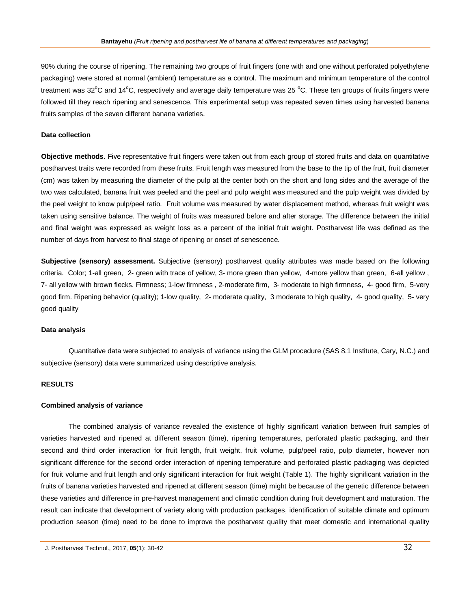90% during the course of ripening. The remaining two groups of fruit fingers (one with and one without perforated polyethylene packaging) were stored at normal (ambient) temperature as a control. The maximum and minimum temperature of the control treatment was 32 $^{\circ}$ C and 14 $^{\circ}$ C, respectively and average daily temperature was 25  $^{\circ}$ C. These ten groups of fruits fingers were followed till they reach ripening and senescence. This experimental setup was repeated seven times using harvested banana fruits samples of the seven different banana varieties.

# **Data collection**

**Objective methods**. Five representative fruit fingers were taken out from each group of stored fruits and data on quantitative postharvest traits were recorded from these fruits. Fruit length was measured from the base to the tip of the fruit, fruit diameter (cm) was taken by measuring the diameter of the pulp at the center both on the short and long sides and the average of the two was calculated, banana fruit was peeled and the peel and pulp weight was measured and the pulp weight was divided by the peel weight to know pulp/peel ratio. Fruit volume was measured by water displacement method, whereas fruit weight was taken using sensitive balance. The weight of fruits was measured before and after storage. The difference between the initial and final weight was expressed as weight loss as a percent of the initial fruit weight. Postharvest life was defined as the number of days from harvest to final stage of ripening or onset of senescence.

**Subjective (sensory) assessment.** Subjective (sensory) postharvest quality attributes was made based on the following criteria. Color; 1-all green, 2- green with trace of yellow, 3- more green than yellow, 4-more yellow than green, 6-all yellow , 7- all yellow with brown flecks. Firmness; 1-low firmness , 2-moderate firm, 3- moderate to high firmness, 4- good firm, 5-very good firm. Ripening behavior (quality); 1-low quality, 2- moderate quality, 3 moderate to high quality, 4- good quality, 5- very good quality

#### **Data analysis**

Quantitative data were subjected to analysis of variance using the GLM procedure (SAS 8.1 Institute, Cary, N.C.) and subjective (sensory) data were summarized using descriptive analysis.

#### **RESULTS**

#### **Combined analysis of variance**

The combined analysis of variance revealed the existence of highly significant variation between fruit samples of varieties harvested and ripened at different season (time), ripening temperatures, perforated plastic packaging, and their second and third order interaction for fruit length, fruit weight, fruit volume, pulp/peel ratio, pulp diameter, however non significant difference for the second order interaction of ripening temperature and perforated plastic packaging was depicted for fruit volume and fruit length and only significant interaction for fruit weight (Table 1). The highly significant variation in the fruits of banana varieties harvested and ripened at different season (time) might be because of the genetic difference between these varieties and difference in pre-harvest management and climatic condition during fruit development and maturation. The result can indicate that development of variety along with production packages, identification of suitable climate and optimum production season (time) need to be done to improve the postharvest quality that meet domestic and international quality

J. Postharvest Technol., 2017, **05**(1): 30-42 32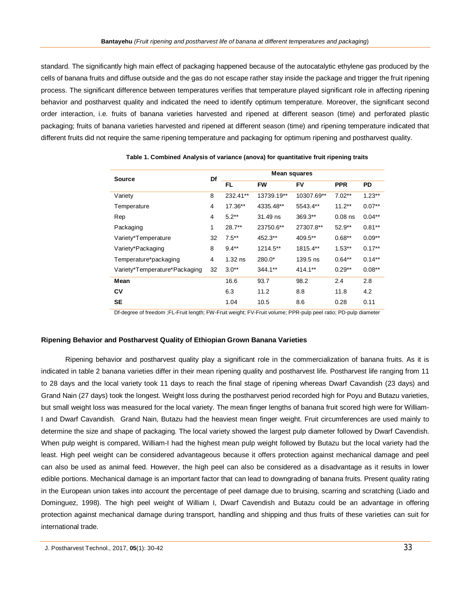standard. The significantly high main effect of packaging happened because of the autocatalytic ethylene gas produced by the cells of banana fruits and diffuse outside and the gas do not escape rather stay inside the package and trigger the fruit ripening process. The significant difference between temperatures verifies that temperature played significant role in affecting ripening behavior and postharvest quality and indicated the need to identify optimum temperature. Moreover, the significant second order interaction, i.e. fruits of banana varieties harvested and ripened at different season (time) and perforated plastic packaging; fruits of banana varieties harvested and ripened at different season (time) and ripening temperature indicated that different fruits did not require the same ripening temperature and packaging for optimum ripening and postharvest quality.

| <b>Source</b>                 |    | <b>Mean squares</b> |            |            |            |           |  |
|-------------------------------|----|---------------------|------------|------------|------------|-----------|--|
|                               |    | FL.                 | <b>FW</b>  | F٧         | <b>PPR</b> | PD        |  |
| Variety                       | 8  | 232.41**            | 13739.19** | 10307.69** | $7.02**$   | $1.23**$  |  |
| Temperature                   | 4  | 17.36**             | 4335.48**  | 5543.4**   | $11.2***$  | $0.07**$  |  |
| Rep                           | 4  | $5.2**$             | 31.49 ns   | 369.3**    | $0.08$ ns  | $0.04***$ |  |
| Packaging                     | 1  | $28.7**$            | 23750.6**  | 27307.8**  | $52.9**$   | $0.81***$ |  |
| Variety*Temperature           | 32 | $7.5***$            | 452.3**    | 409.5**    | $0.68**$   | $0.09**$  |  |
| Variety*Packaging             | 8  | $9.4**$             | 1214.5**   | 1815.4**   | $1.53**$   | $0.17**$  |  |
| Temperature*packaging         | 4  | $1.32$ ns           | 280.0*     | 139.5 ns   | $0.64**$   | $0.14***$ |  |
| Variety*Temperature*Packaging | 32 | $3.0**$             | 344.1**    | 414.1**    | $0.29**$   | $0.08**$  |  |
| Mean                          |    | 16.6                | 93.7       | 98.2       | 2.4        | 2.8       |  |
| CV                            |    | 6.3                 | 11.2       | 8.8        | 11.8       | 4.2       |  |
| <b>SE</b>                     |    | 1.04                | 10.5       | 8.6        | 0.28       | 0.11      |  |

**Table 1. Combined Analysis of variance (anova) for quantitative fruit ripening traits**

Df-degree of freedom ;FL-Fruit length; FW-Fruit weight; FV-Fruit volume; PPR-pulp peel ratio; PD-pulp diameter

#### **Ripening Behavior and Postharvest Quality of Ethiopian Grown Banana Varieties**

Ripening behavior and postharvest quality play a significant role in the commercialization of banana fruits. As it is indicated in table 2 banana varieties differ in their mean ripening quality and postharvest life. Postharvest life ranging from 11 to 28 days and the local variety took 11 days to reach the final stage of ripening whereas Dwarf Cavandish (23 days) and Grand Nain (27 days) took the longest. Weight loss during the postharvest period recorded high for Poyu and Butazu varieties, but small weight loss was measured for the local variety. The mean finger lengths of banana fruit scored high were for William-I and Dwarf Cavandish. Grand Nain, Butazu had the heaviest mean finger weight. Fruit circumferences are used mainly to determine the size and shape of packaging. The local variety showed the largest pulp diameter followed by Dwarf Cavendish. When pulp weight is compared, William-I had the highest mean pulp weight followed by Butazu but the local variety had the least. High peel weight can be considered advantageous because it offers protection against mechanical damage and peel can also be used as animal feed. However, the high peel can also be considered as a disadvantage as it results in lower edible portions. Mechanical damage is an important factor that can lead to downgrading of banana fruits. Present quality rating in the European union takes into account the percentage of peel damage due to bruising, scarring and scratching (Liado and Dominguez, 1998). The high peel weight of William I, Dwarf Cavendish and Butazu could be an advantage in offering protection against mechanical damage during transport, handling and shipping and thus fruits of these varieties can suit for international trade.

J. Postharvest Technol., 2017, **05**(1): 30-42 33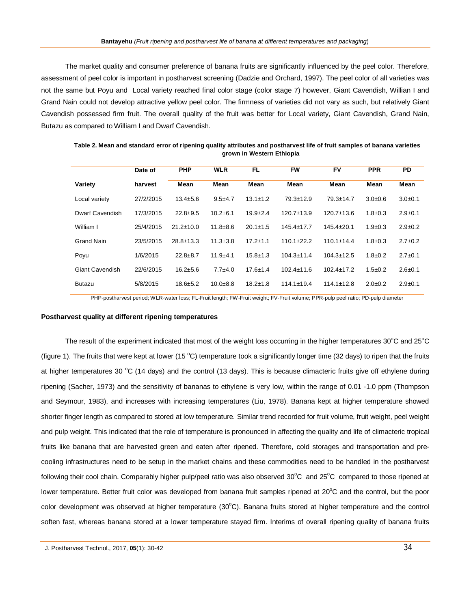The market quality and consumer preference of banana fruits are significantly influenced by the peel color. Therefore, assessment of peel color is important in postharvest screening (Dadzie and Orchard, 1997). The peel color of all varieties was not the same but Poyu and Local variety reached final color stage (color stage 7) however, Giant Cavendish, Willian I and Grand Nain could not develop attractive yellow peel color. The firmness of varieties did not vary as such, but relatively Giant Cavendish possessed firm fruit. The overall quality of the fruit was better for Local variety, Giant Cavendish, Grand Nain, Butazu as compared to William I and Dwarf Cavendish.

|                        | Date of   | <b>PHP</b>      | <b>WLR</b>     | FL.            | <b>FW</b>        | FV               | <b>PPR</b>    | <b>PD</b>     |
|------------------------|-----------|-----------------|----------------|----------------|------------------|------------------|---------------|---------------|
| Variety                | harvest   | Mean            | Mean           | Mean           | Mean             | Mean             | Mean          | Mean          |
| Local variety          | 27/2/2015 | $13.4 \pm 5.6$  | $9.5 + 4.7$    | $13.1 \pm 1.2$ | $79.3 \pm 12.9$  | $79.3 \pm 14.7$  | $3.0+0.6$     | $3.0 + 0.1$   |
| Dwarf Cavendish        | 17/3/2015 | $22.8 + 9.5$    | $10.2 + 6.1$   | $19.9 + 2.4$   | $120.7 + 13.9$   | $120.7 \pm 13.6$ | $1.8 + 0.3$   | $2.9 \pm 0.1$ |
| William I              | 25/4/2015 | $21.2 \pm 10.0$ | $11.8 + 8.6$   | $20.1 \pm 1.5$ | $145.4 \pm 17.7$ | $145.4 \pm 20.1$ | $1.9 \pm 0.3$ | $2.9 \pm 0.2$ |
| <b>Grand Nain</b>      | 23/5/2015 | $28.8 \pm 13.3$ | $11.3 \pm 3.8$ | $17.2 \pm 1.1$ | $110.1 \pm 22.2$ | $110.1 \pm 14.4$ | $1.8 + 0.3$   | $2.7 \pm 0.2$ |
| Poyu                   | 1/6/2015  | $22.8 \pm 8.7$  | $11.9 + 4.1$   | $15.8 \pm 1.3$ | $104.3 \pm 11.4$ | $104.3 \pm 12.5$ | $1.8 \pm 0.2$ | $2.7 \pm 0.1$ |
| <b>Giant Cavendish</b> | 22/6/2015 | $16.2 + 5.6$    | $7.7 + 4.0$    | $17.6 \pm 1.4$ | $102.4 \pm 11.6$ | $102.4 \pm 17.2$ | $1.5 \pm 0.2$ | $2.6 \pm 0.1$ |
| <b>Butazu</b>          | 5/8/2015  | $18.6 \pm 5.2$  | $10.0 + 8.8$   | $18.2 \pm 1.8$ | $114.1 \pm 19.4$ | $114.1 \pm 12.8$ | $2.0 \pm 0.2$ | $2.9+0.1$     |

**Table 2. Mean and standard error of ripening quality attributes and postharvest life of fruit samples of banana varieties grown in Western Ethiopia**

PHP-postharvest period; WLR-water loss; FL-Fruit length; FW-Fruit weight; FV-Fruit volume; PPR-pulp peel ratio; PD-pulp diameter

### **Postharvest quality at different ripening temperatures**

The result of the experiment indicated that most of the weight loss occurring in the higher temperatures  $30^{\circ}$ C and  $25^{\circ}$ C (figure 1). The fruits that were kept at lower (15 °C) temperature took a significantly longer time (32 days) to ripen that the fruits at higher temperatures 30  $^{\circ}$ C (14 days) and the control (13 days). This is because climacteric fruits give off ethylene during ripening (Sacher, 1973) and the sensitivity of bananas to ethylene is very low, within the range of 0.01 -1.0 ppm (Thompson and Seymour, 1983), and increases with increasing temperatures (Liu, 1978). Banana kept at higher temperature showed shorter finger length as compared to stored at low temperature. Similar trend recorded for fruit volume, fruit weight, peel weight and pulp weight. This indicated that the role of temperature is pronounced in affecting the quality and life of climacteric tropical fruits like banana that are harvested green and eaten after ripened. Therefore, cold storages and transportation and precooling infrastructures need to be setup in the market chains and these commodities need to be handled in the postharvest following their cool chain. Comparably higher pulp/peel ratio was also observed  $30^{\circ}$ C and  $25^{\circ}$ C compared to those ripened at lower temperature. Better fruit color was developed from banana fruit samples ripened at  $20^{\circ}$ C and the control, but the poor color development was observed at higher temperature  $(30^{\circ}C)$ . Banana fruits stored at higher temperature and the control soften fast, whereas banana stored at a lower temperature stayed firm. Interims of overall ripening quality of banana fruits

J. Postharvest Technol., 2017, **05**(1): 30-42 34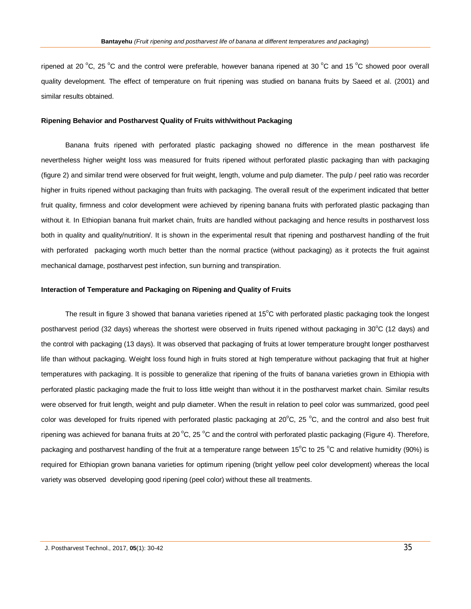ripened at 20 °C, 25 °C and the control were preferable, however banana ripened at 30 °C and 15 °C showed poor overall quality development. The effect of temperature on fruit ripening was studied on banana fruits by Saeed et al. (2001) and similar results obtained.

#### **Ripening Behavior and Postharvest Quality of Fruits with/without Packaging**

Banana fruits ripened with perforated plastic packaging showed no difference in the mean postharvest life nevertheless higher weight loss was measured for fruits ripened without perforated plastic packaging than with packaging (figure 2) and similar trend were observed for fruit weight, length, volume and pulp diameter. The pulp / peel ratio was recorder higher in fruits ripened without packaging than fruits with packaging. The overall result of the experiment indicated that better fruit quality, firmness and color development were achieved by ripening banana fruits with perforated plastic packaging than without it. In Ethiopian banana fruit market chain, fruits are handled without packaging and hence results in postharvest loss both in quality and quality/nutrition/. It is shown in the experimental result that ripening and postharvest handling of the fruit with perforated packaging worth much better than the normal practice (without packaging) as it protects the fruit against mechanical damage, postharvest pest infection, sun burning and transpiration.

#### **Interaction of Temperature and Packaging on Ripening and Quality of Fruits**

The result in figure 3 showed that banana varieties ripened at  $15^{\circ}$ C with perforated plastic packaging took the longest postharvest period (32 days) whereas the shortest were observed in fruits ripened without packaging in 30°C (12 days) and the control with packaging (13 days). It was observed that packaging of fruits at lower temperature brought longer postharvest life than without packaging. Weight loss found high in fruits stored at high temperature without packaging that fruit at higher temperatures with packaging. It is possible to generalize that ripening of the fruits of banana varieties grown in Ethiopia with perforated plastic packaging made the fruit to loss little weight than without it in the postharvest market chain. Similar results were observed for fruit length, weight and pulp diameter. When the result in relation to peel color was summarized, good peel color was developed for fruits ripened with perforated plastic packaging at  $20^{\circ}$ C,  $25^{\circ}$ C, and the control and also best fruit ripening was achieved for banana fruits at 20  $^{\circ}$ C, 25  $^{\circ}$ C and the control with perforated plastic packaging (Figure 4). Therefore, packaging and postharvest handling of the fruit at a temperature range between 15 $^{\circ}$ C to 25  $^{\circ}$ C and relative humidity (90%) is required for Ethiopian grown banana varieties for optimum ripening (bright yellow peel color development) whereas the local variety was observed developing good ripening (peel color) without these all treatments.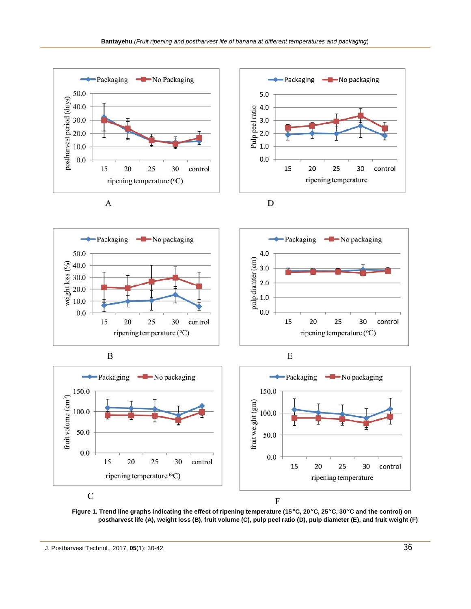



J. Postharvest Technol., 2017, **05**(1): 30-42 36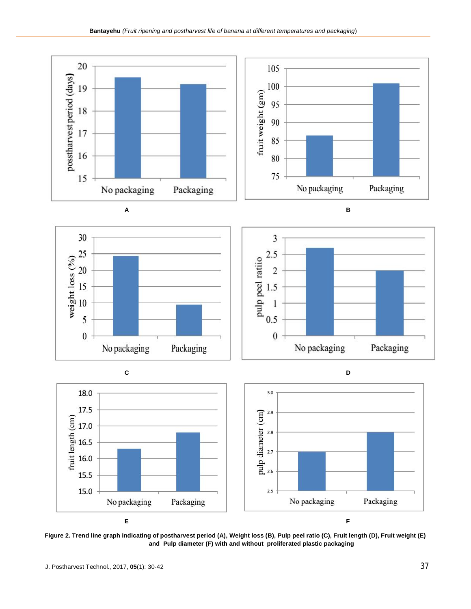







**Figure 2. Trend line graph indicating of postharvest period (A), Weight loss (B), Pulp peel ratio (C), Fruit length (D), Fruit weight (E) and Pulp diameter (F) with and without proliferated plastic packaging**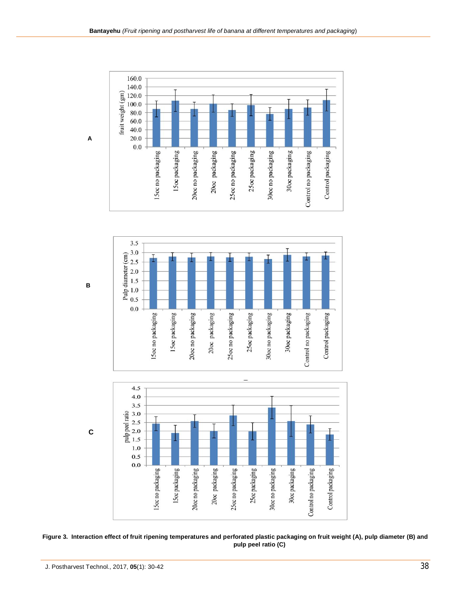





**Figure 3. Interaction effect of fruit ripening temperatures and perforated plastic packaging on fruit weight (A), pulp diameter (B) and pulp peel ratio (C)**

**A**

**B**

 **C**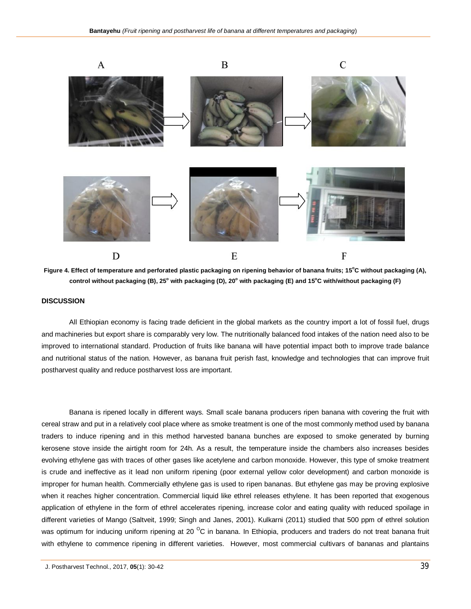

**Figure 4. Effect of temperature and perforated plastic packaging on ripening behavior of banana fruits; 15<sup>o</sup>C without packaging (A), control without packaging (B), 25<sup>o</sup> with packaging (D), 20<sup>o</sup> with packaging (E) and 15<sup>o</sup>C with/without packaging (F)**

## **DISCUSSION**

All Ethiopian economy is facing trade deficient in the global markets as the country import a lot of fossil fuel, drugs and machineries but export share is comparably very low. The nutritionally balanced food intakes of the nation need also to be improved to international standard. Production of fruits like banana will have potential impact both to improve trade balance and nutritional status of the nation. However, as banana fruit perish fast, knowledge and technologies that can improve fruit postharvest quality and reduce postharvest loss are important.

Banana is ripened locally in different ways. Small scale banana producers ripen banana with covering the fruit with cereal straw and put in a relatively cool place where as smoke treatment is one of the most commonly method used by banana traders to induce ripening and in this method harvested banana bunches are exposed to smoke generated by burning kerosene stove inside the airtight room for 24h. As a result, the temperature inside the chambers also increases besides evolving ethylene gas with traces of other gases like acetylene and carbon monoxide. However, this type of smoke treatment is crude and ineffective as it lead non uniform ripening (poor external yellow color development) and carbon monoxide is improper for human health. Commercially ethylene gas is used to ripen bananas. But ethylene gas may be proving explosive when it reaches higher concentration. Commercial liquid like ethrel releases ethylene. It has been reported that exogenous application of ethylene in the form of ethrel accelerates ripening, increase color and eating quality with reduced spoilage in different varieties of Mango (Saltveit, 1999; Singh and Janes, 2001). Kulkarni (2011) studied that 500 ppm of ethrel solution was optimum for inducing uniform ripening at 20 $\rm{^{\circ}C}$  in banana. In Ethiopia, producers and traders do not treat banana fruit with ethylene to commence ripening in different varieties. However, most commercial cultivars of bananas and plantains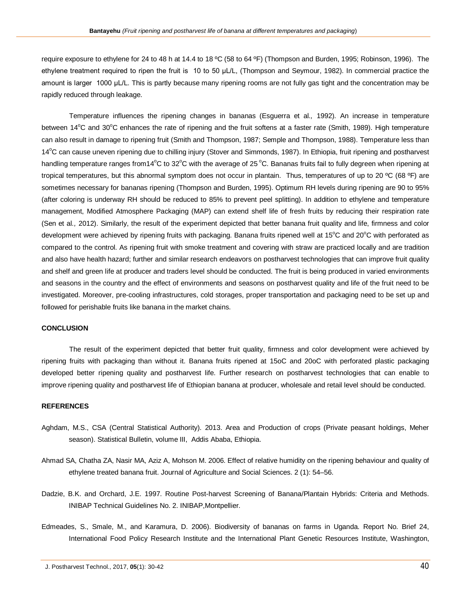require exposure to ethylene for 24 to 48 h at 14.4 to 18 ºC (58 to 64 ºF) (Thompson and Burden, 1995; Robinson, 1996). The ethylene treatment required to ripen the fruit is 10 to 50 μL/L, (Thompson and Seymour, 1982). In commercial practice the amount is larger 1000 μL/L. This is partly because many ripening rooms are not fully gas tight and the concentration may be rapidly reduced through leakage.

Temperature influences the ripening changes in bananas (Esguerra et al*.,* 1992). An increase in temperature between  $14^{\circ}$ C and  $30^{\circ}$ C enhances the rate of ripening and the fruit softens at a faster rate (Smith, 1989). High temperature can also result in damage to ripening fruit (Smith and Thompson, 1987; Semple and Thompson, 1988). Temperature less than 14°C can cause uneven ripening due to chilling injury (Stover and Simmonds, 1987). In Ethiopia, fruit ripening and postharvest handling temperature ranges from14 $^{\circ}$ C to 32 $^{\circ}$ C with the average of 25 $^{\circ}$ C. Bananas fruits fail to fully degreen when ripening at tropical temperatures, but this abnormal symptom does not occur in plantain. Thus, temperatures of up to 20 ºC (68 ºF) are sometimes necessary for bananas ripening (Thompson and Burden, 1995). Optimum RH levels during ripening are 90 to 95% (after coloring is underway RH should be reduced to 85% to prevent peel splitting). In addition to ethylene and temperature management, Modified Atmosphere Packaging (MAP) can extend shelf life of fresh fruits by reducing their respiration rate (Sen et al*.,* 2012). Similarly, the result of the experiment depicted that better banana fruit quality and life, firmness and color development were achieved by ripening fruits with packaging. Banana fruits ripened well at  $15^{\circ}$ C and  $20^{\circ}$ C with perforated as compared to the control. As ripening fruit with smoke treatment and covering with straw are practiced locally and are tradition and also have health hazard; further and similar research endeavors on postharvest technologies that can improve fruit quality and shelf and green life at producer and traders level should be conducted. The fruit is being produced in varied environments and seasons in the country and the effect of environments and seasons on postharvest quality and life of the fruit need to be investigated. Moreover, pre-cooling infrastructures, cold storages, proper transportation and packaging need to be set up and followed for perishable fruits like banana in the market chains.

#### **CONCLUSION**

The result of the experiment depicted that better fruit quality, firmness and color development were achieved by ripening fruits with packaging than without it. Banana fruits ripened at 15oC and 20oC with perforated plastic packaging developed better ripening quality and postharvest life. Further research on postharvest technologies that can enable to improve ripening quality and postharvest life of Ethiopian banana at producer, wholesale and retail level should be conducted.

#### **REFERENCES**

- Aghdam, M.S., CSA (Central Statistical Authority). 2013. Area and Production of crops (Private peasant holdings, Meher season). Statistical Bulletin, volume III, Addis Ababa, Ethiopia.
- Ahmad SA, Chatha ZA, Nasir MA, Aziz A, Mohson M. 2006. Effect of relative humidity on the ripening behaviour and quality of ethylene treated banana fruit. Journal of Agriculture and Social Sciences. 2 (1): 54–56.
- Dadzie, B.K. and Orchard, J.E. 1997. Routine Post-harvest Screening of Banana/Plantain Hybrids: Criteria and Methods. INIBAP Technical Guidelines No. 2. INIBAP,Montpellier.
- Edmeades, S., Smale, M., and Karamura, D. 2006). Biodiversity of bananas on farms in Uganda. Report No. Brief 24, International Food Policy Research Institute and the International Plant Genetic Resources Institute, Washington,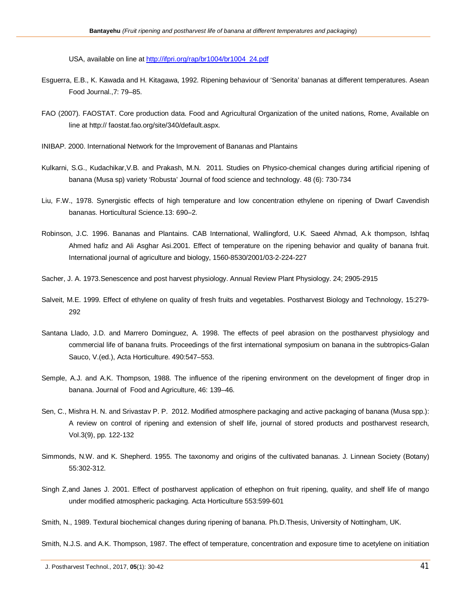USA, available on line at http://ifpri.org/rap/br1004/br1004\_24.pdf

- Esguerra, E.B., K. Kawada and H. Kitagawa, 1992. Ripening behaviour of 'Senorita' bananas at different temperatures. Asean Food Journal.,7: 79–85.
- FAO (2007). FAOSTAT. Core production data. Food and Agricultural Organization of the united nations, Rome, Available on line at http:// faostat.fao.org/site/340/default.aspx.
- INIBAP. 2000. International Network for the Improvement of Bananas and Plantains
- Kulkarni, S.G., Kudachikar,V.B. and Prakash, M.N. 2011. Studies on Physico-chemical changes during artificial ripening of banana (Musa sp) variety 'Robusta' Journal of food science and technology. 48 (6): 730-734
- Liu, F.W., 1978. Synergistic effects of high temperature and low concentration ethylene on ripening of Dwarf Cavendish bananas. Horticultural Science.13: 690–2.
- Robinson, J.C. 1996. Bananas and Plantains. CAB International, Wallingford, U.K. Saeed Ahmad, A.k thompson, Ishfaq Ahmed hafiz and Ali Asghar Asi.2001. Effect of temperature on the ripening behavior and quality of banana fruit. International journal of agriculture and biology, 1560-8530/2001/03-2-224-227
- Sacher, J. A. 1973.Senescence and post harvest physiology. Annual Review Plant Physiology. 24; 2905-2915
- Salveit, M.E. 1999. Effect of ethylene on quality of fresh fruits and vegetables. Postharvest Biology and Technology, 15:279- 292
- Santana Llado, J.D. and Marrero Dominguez, A. 1998. The effects of peel abrasion on the postharvest physiology and commercial life of banana fruits. Proceedings of the first international symposium on banana in the subtropics-Galan Sauco, V.(ed.), Acta Horticulture. 490:547–553.
- Semple, A.J. and A.K. Thompson, 1988. The influence of the ripening environment on the development of finger drop in banana. Journal of Food and Agriculture, 46: 139–46.
- Sen, C., Mishra H. N. and Srivastav P. P. 2012. Modified atmosphere packaging and active packaging of banana (Musa spp.): A review on control of ripening and extension of shelf life, journal of stored products and postharvest research, Vol.3(9), pp. 122-132
- Simmonds, N.W. and K. Shepherd. 1955. The taxonomy and origins of the cultivated bananas. J. Linnean Society (Botany) 55:302-312.
- Singh Z,and Janes J. 2001. Effect of postharvest application of ethephon on fruit ripening, quality, and shelf life of mango under modified atmospheric packaging. Acta Horticulture 553:599-601

Smith, N.J.S. and A.K. Thompson, 1987. The effect of temperature, concentration and exposure time to acetylene on initiation

Smith, N., 1989. Textural biochemical changes during ripening of banana. Ph.D.Thesis, University of Nottingham, UK.